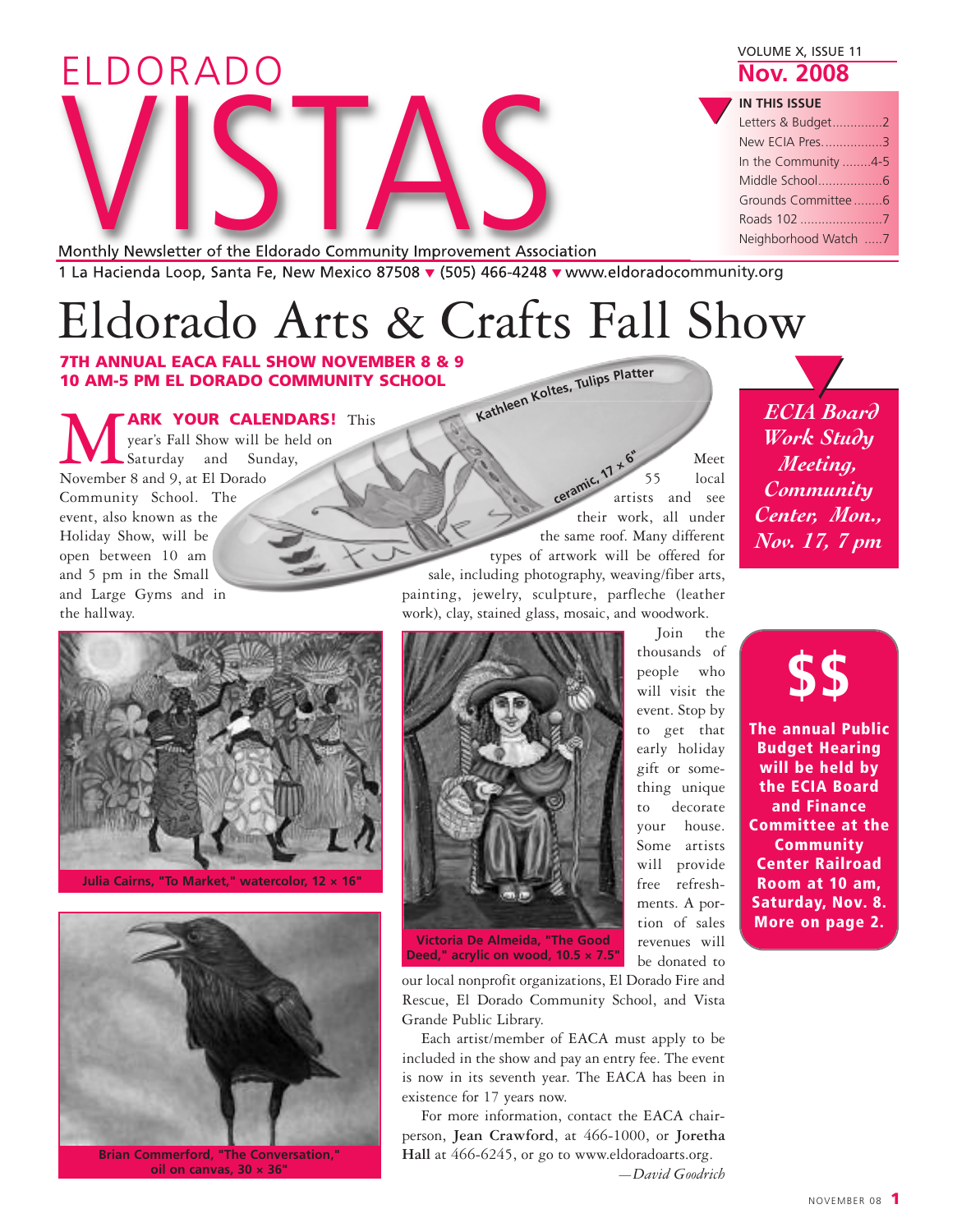| ELDORADO                                                                                    | VOLUME X, ISSUE 11<br><b>Nov. 2008</b>                                                                                            |
|---------------------------------------------------------------------------------------------|-----------------------------------------------------------------------------------------------------------------------------------|
| Monthly Newsletter of the Eldorado Community Improvement Association                        | <b>IN THIS ISSUE</b><br>Letters & Budget2<br>New ECIA Pres3<br>In the Community 4-5<br>Grounds Committee6<br>Neighborhood Watch 7 |
| 1 La Hacienda Loop, Santa Fe, New Mexico 87508 - (505) 466-4248 - www.eldoradocommunity.org |                                                                                                                                   |

1 La Hacienda Loop, Santa Fe, New Mexico 87508 **▼** (505) 466-4248 **▼** www.eldoradocommunity.org

# Eldorado Arts & Crafts Fall Show

**7TH ANNUAL EACA FALL SHOW NOVEMBER 8 & 9 10 AM-5 PM EL DORADO COMMUNITY SCHOOL**

**ARK YOUR CALENDARS!** This year's Fall Show will be held on Saturday and Sunday, November 8 and 9, at El Dorado Community School. The event, also known as the Holiday Show, will be open between 10 am and 5 pm in the Small and Large Gyms and in the hallway.

Kathleen Koltes, Tulips Platter

Meet 55 local artists and see their work, all under the same roof. Many different types of artwork will be offered for sale, including photography, weaving/fiber arts, painting, jewelry, sculpture, parfleche (leather work), clay, stained glass, mosaic, and woodwork. **ceramic, <sup>1</sup><sup>7</sup> <sup>×</sup> <sup>6</sup>"**



**Julia Cairns, "To Market," watercolor, 12 × 16"**



**Brian Commerford, "The Conversation," oil on canvas, 30 × 36"**



**Victoria De Almeida, "The Good Deed," acrylic on wood, 10.5 × 7.5"**

our local nonprofit organizations, El Dorado Fire and Rescue, El Dorado Community School, and Vista Grande Public Library.

Each artist/member of EACA must apply to be included in the show and pay an entry fee. The event is now in its seventh year. The EACA has been in existence for 17 years now.

For more information, contact the EACA chairperson, **Jean Crawford**, at 466-1000, or **Joretha Hall** at 466-6245, or go to www.eldoradoarts.org.

*—David Goodrich*

be donated to

Join the

*ECIA Board Work Study Meeting, Community Center, Mon., Nov. 17, 7 pm* **▼**

**\$\$ The annual Public Budget Hearing will be held by the ECIA Board and Finance Committee at the Community Center Railroad Room at 10 am, Saturday, Nov. 8. More on page 2.**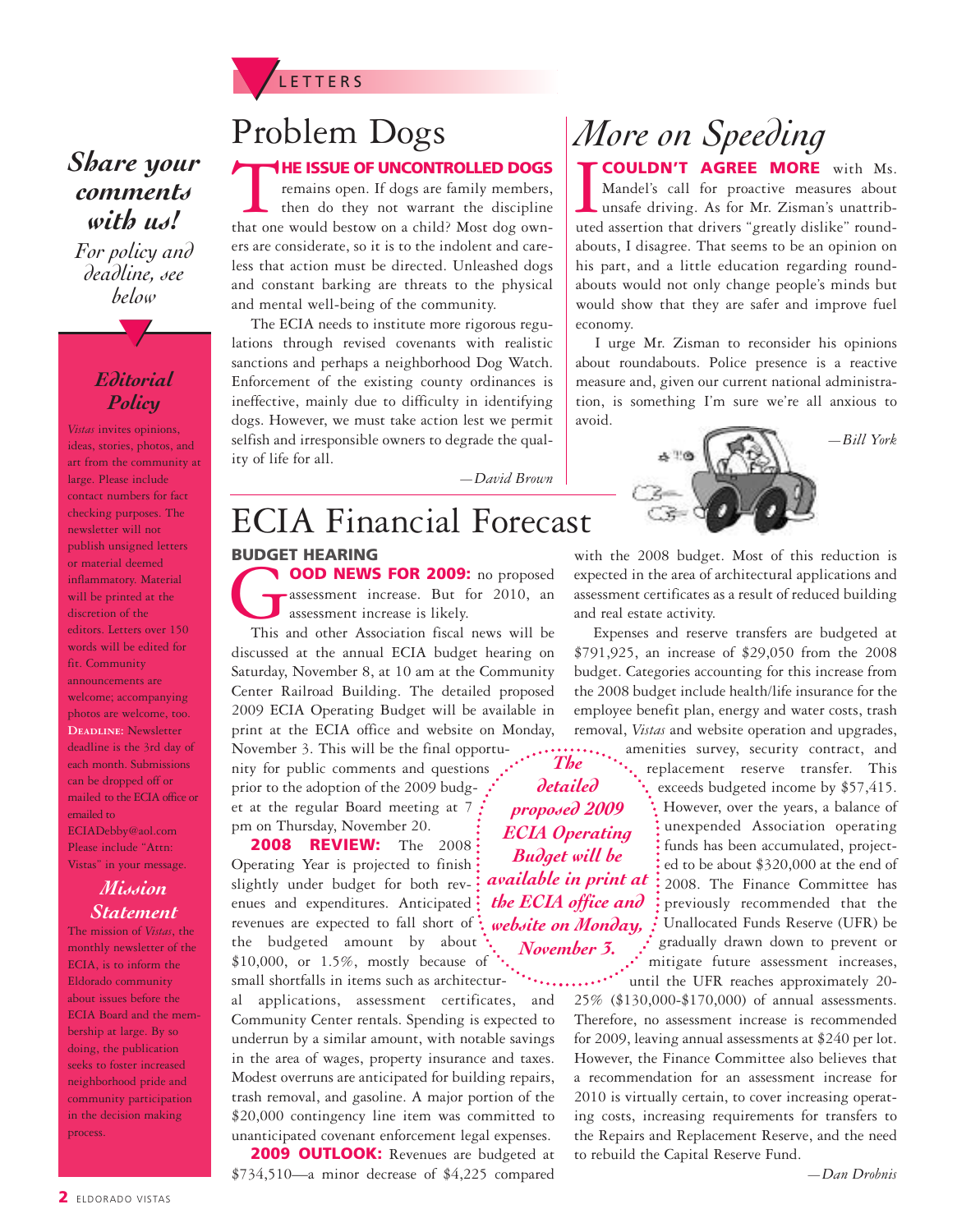

### *Share your comments with us!*

*For policy and deadline, see below*

**▼**

#### *Editorial Policy*

*Vistas* invites opinions, ideas, stories, photos, and art from the community at large. Please include contact numbers for fact checking purposes. The newsletter will not publish unsigned letters or material deemed inflammatory. Material will be printed at the discretion of the editors. Letters over 150 words will be edited for fit. Community announcements are welcome; accompanying photos are welcome, too. **DEADLINE: Newsletter** deadline is the 3rd day of each month. Submissions can be dropped off or mailed to the ECIA office or emailed to ECIADebby@aol.com Please include "Attn: Vistas" in your message.

#### *Mission Statement*

The mission of *Vistas*, the monthly newsletter of the ECIA, is to inform the Eldorado community about issues before the ECIA Board and the membership at large. By so doing, the publication seeks to foster increased neighborhood pride and community participation in the decision making process.

## Problem Dogs

**THE ISSUE OF UNCONTROLLED DOGS**<br>
remains open. If dogs are family members,<br>
then do they not warrant the discipline<br>
that one would bestow on a child? Most dog ownremains open. If dogs are family members, then do they not warrant the discipline ers are considerate, so it is to the indolent and careless that action must be directed. Unleashed dogs and constant barking are threats to the physical and mental well-being of the community.

The ECIA needs to institute more rigorous regulations through revised covenants with realistic sanctions and perhaps a neighborhood Dog Watch. Enforcement of the existing county ordinances is ineffective, mainly due to difficulty in identifying dogs. However, we must take action lest we permit selfish and irresponsible owners to degrade the quality of life for all.

*—David Brown*

### **BUDGET HEARING** ECIA Financial Forecast

G**OOD NEWS FOR 2009:** no proposed assessment increase. But for 2010, an assessment increase is likely.

This and other Association fiscal news will be discussed at the annual ECIA budget hearing on Saturday, November 8, at 10 am at the Community Center Railroad Building. The detailed proposed 2009 ECIA Operating Budget will be available in print at the ECIA office and website on Monday, November 3. This will be the final opportu-

nity for public comments and questions prior to the adoption of the 2009 budg-. et at the regular Board meeting at 7 pm on Thursday, November 20.

**2008 REVIEW:** The 2008 Operating Year is projected to finish slightly under budget for both revenues and expenditures. Anticipated revenues are expected to fall short of the budgeted amount by about \$10,000, or 1.5%, mostly because of small shortfalls in items such as architectur-

al applications, assessment certificates, and Community Center rentals. Spending is expected to underrun by a similar amount, with notable savings in the area of wages, property insurance and taxes. Modest overruns are anticipated for building repairs, trash removal, and gasoline. A major portion of the \$20,000 contingency line item was committed to unanticipated covenant enforcement legal expenses.

**2009 OUTLOOK:** Revenues are budgeted at \$734,510—a minor decrease of \$4,225 compared

# *More on Speeding*

**COULDN'T AGREE MORE** with Ms.<br>
Mandel's call for proactive measures about<br>
unsafe driving. As for Mr. Zisman's unattributed<br>
assertion that drivers "greatly dislike" round-**COULDN'T AGREE MORE** with Ms. Mandel's call for proactive measures about unsafe driving. As for Mr. Zisman's unattribabouts, I disagree. That seems to be an opinion on his part, and a little education regarding roundabouts would not only change people's minds but would show that they are safer and improve fuel economy.

I urge Mr. Zisman to reconsider his opinions about roundabouts. Police presence is a reactive measure and, given our current national administration, is something I'm sure we're all anxious to avoid.



*—Bill York*



Expenses and reserve transfers are budgeted at \$791,925, an increase of \$29,050 from the 2008 budget. Categories accounting for this increase from the 2008 budget include health/life insurance for the employee benefit plan, energy and water costs, trash removal, *Vistas* and website operation and upgrades,

*The detailed proposed 2009 ECIA Operating Budget will be available in print at the ECIA office and website on Monday, November 3.*

amenities survey, security contract, and replacement reserve transfer. This exceeds budgeted income by \$57,415. However, over the years, a balance of unexpended Association operating funds has been accumulated, projected to be about \$320,000 at the end of 2008. The Finance Committee has previously recommended that the Unallocated Funds Reserve (UFR) be gradually drawn down to prevent or mitigate future assessment increases,

until the UFR reaches approximately 20- 25% (\$130,000-\$170,000) of annual assessments. Therefore, no assessment increase is recommended for 2009, leaving annual assessments at \$240 per lot. However, the Finance Committee also believes that a recommendation for an assessment increase for 2010 is virtually certain, to cover increasing operating costs, increasing requirements for transfers to the Repairs and Replacement Reserve, and the need to rebuild the Capital Reserve Fund.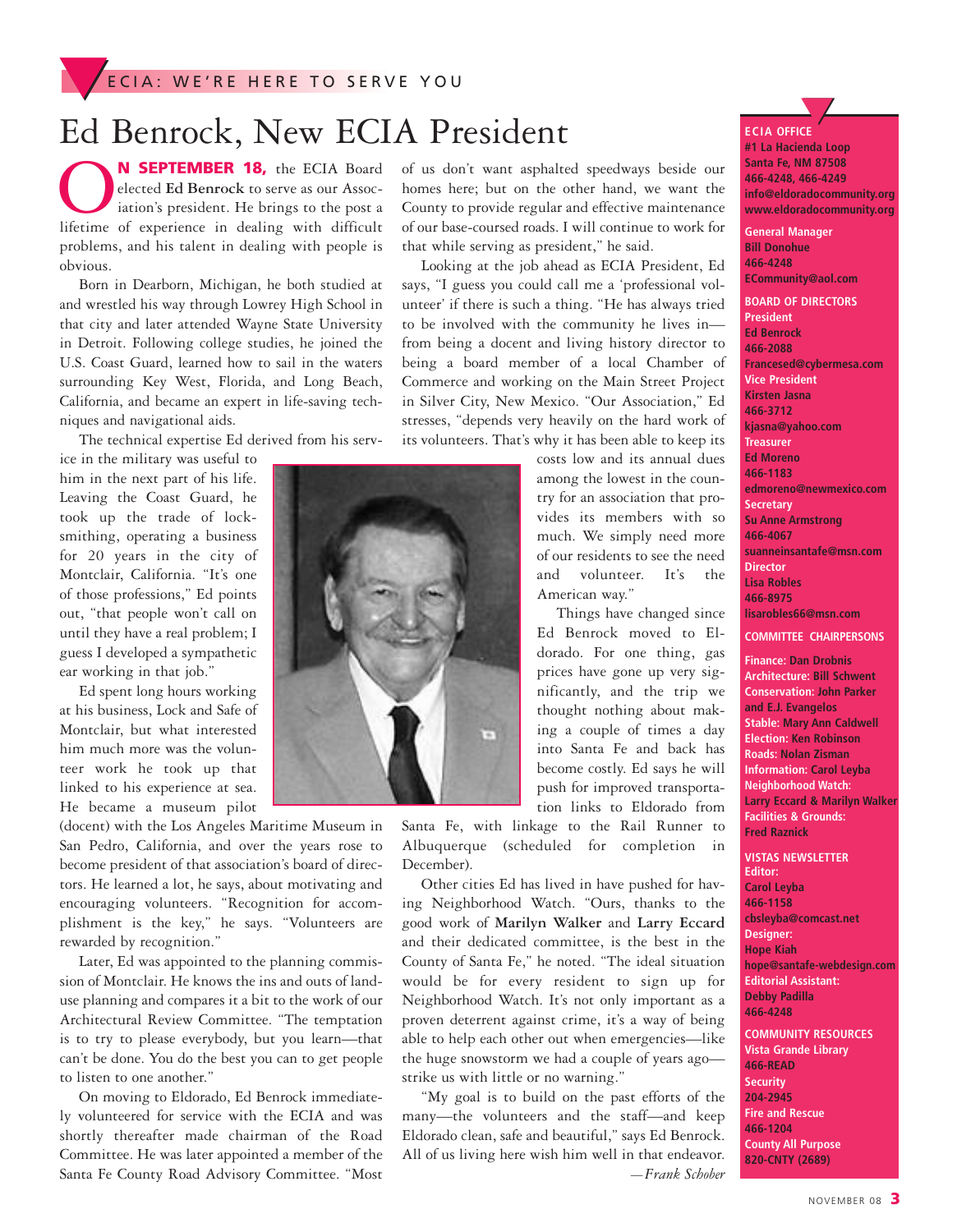## Ed Benrock, New ECIA President

**OCON SEPTEMBER 18,** the ECIA Board elected Ed Benrock to serve as our Association's president. He brings to the post a lifetime of experience in dealing with difficult elected **Ed Benrock** to serve as our Association's president. He brings to the post a problems, and his talent in dealing with people is obvious.

Born in Dearborn, Michigan, he both studied at and wrestled his way through Lowrey High School in that city and later attended Wayne State University in Detroit. Following college studies, he joined the U.S. Coast Guard, learned how to sail in the waters surrounding Key West, Florida, and Long Beach, California, and became an expert in life-saving techniques and navigational aids.

The technical expertise Ed derived from his serv-

ice in the military was useful to him in the next part of his life. Leaving the Coast Guard, he took up the trade of locksmithing, operating a business for 20 years in the city of Montclair, California. "It's one of those professions," Ed points out, "that people won't call on until they have a real problem; I guess I developed a sympathetic ear working in that job."

Ed spent long hours working at his business, Lock and Safe of Montclair, but what interested him much more was the volunteer work he took up that linked to his experience at sea. He became a museum pilot

(docent) with the Los Angeles Maritime Museum in San Pedro, California, and over the years rose to become president of that association's board of directors. He learned a lot, he says, about motivating and encouraging volunteers. "Recognition for accomplishment is the key," he says. "Volunteers are rewarded by recognition."

Later, Ed was appointed to the planning commission of Montclair. He knows the ins and outs of landuse planning and compares it a bit to the work of our Architectural Review Committee. "The temptation is to try to please everybody, but you learn—that can't be done. You do the best you can to get people to listen to one another."

On moving to Eldorado, Ed Benrock immediately volunteered for service with the ECIA and was shortly thereafter made chairman of the Road Committee. He was later appointed a member of the Santa Fe County Road Advisory Committee. "Most

of us don't want asphalted speedways beside our homes here; but on the other hand, we want the County to provide regular and effective maintenance of our base-coursed roads. I will continue to work for that while serving as president," he said.

Looking at the job ahead as ECIA President, Ed says, "I guess you could call me a 'professional volunteer' if there is such a thing. "He has always tried to be involved with the community he lives in from being a docent and living history director to being a board member of a local Chamber of Commerce and working on the Main Street Project in Silver City, New Mexico. "Our Association," Ed stresses, "depends very heavily on the hard work of its volunteers. That's why it has been able to keep its

> costs low and its annual dues among the lowest in the country for an association that provides its members with so much. We simply need more of our residents to see the need and volunteer. It's the American way."

> Things have changed since Ed Benrock moved to Eldorado. For one thing, gas prices have gone up very significantly, and the trip we thought nothing about making a couple of times a day into Santa Fe and back has become costly. Ed says he will push for improved transportation links to Eldorado from

Santa Fe, with linkage to the Rail Runner to Albuquerque (scheduled for completion in December).

Other cities Ed has lived in have pushed for having Neighborhood Watch. "Ours, thanks to the good work of **Marilyn Walker** and **Larry Eccard** and their dedicated committee, is the best in the County of Santa Fe," he noted. "The ideal situation would be for every resident to sign up for Neighborhood Watch. It's not only important as a proven deterrent against crime, it's a way of being able to help each other out when emergencies—like the huge snowstorm we had a couple of years ago strike us with little or no warning."

"My goal is to build on the past efforts of the many—the volunteers and the staff—and keep Eldorado clean, safe and beautiful," says Ed Benrock. All of us living here wish him well in that endeavor. *—Frank Schober*

**Santa Fe, NM 87508 466-4248, 466-4249 info@eldoradocommunity.org www.eldoradocommunity.org General Manager Bill Donohue 466-4248 ECommunity@aol.com BOARD OF DIRECTORS President Ed Benrock 466-2088 Francesed@cybermesa.com Vice President**

**▼**

**ECIA OFFIC E**

**#1 La Hacienda Loop**

**Kirsten Jasna 466-3712 kjasna@yahoo.com Treasurer Ed Moreno 466-1183 edmoreno@newmexico.com Secretary Su Anne Armstrong 466-4067 suanneinsantafe@msn.com Director Lisa Robles 466-8975 lisarobles66@msn.com**

**COMMITTEE CHAIRPERSONS**

**Finance: Dan Drobnis Architecture: Bill Schwent Conservation: John Parker and E.J. Evangelos Stable: Mary Ann Caldwell Election: Ken Robinson Roads: Nolan Zisman Information: Carol Leyba Neighborhood Watch: Larry Eccard & Marilyn Walker Facilities & Grounds: Fred Raznick**

**VISTAS NEWSLETTER Editor: Carol Leyba 466-1158 cbsleyba@comcast.net Designer: Hope Kiah hope@santafe-webdesign.com Editorial Assistant: Debby Padilla 466-4248**

**COMMUNITY RESOURCES Vista Grande Library 466-READ Security 204-2945 Fire and Rescue 466-1204 County All Purpose 820-CNTY (2689)**

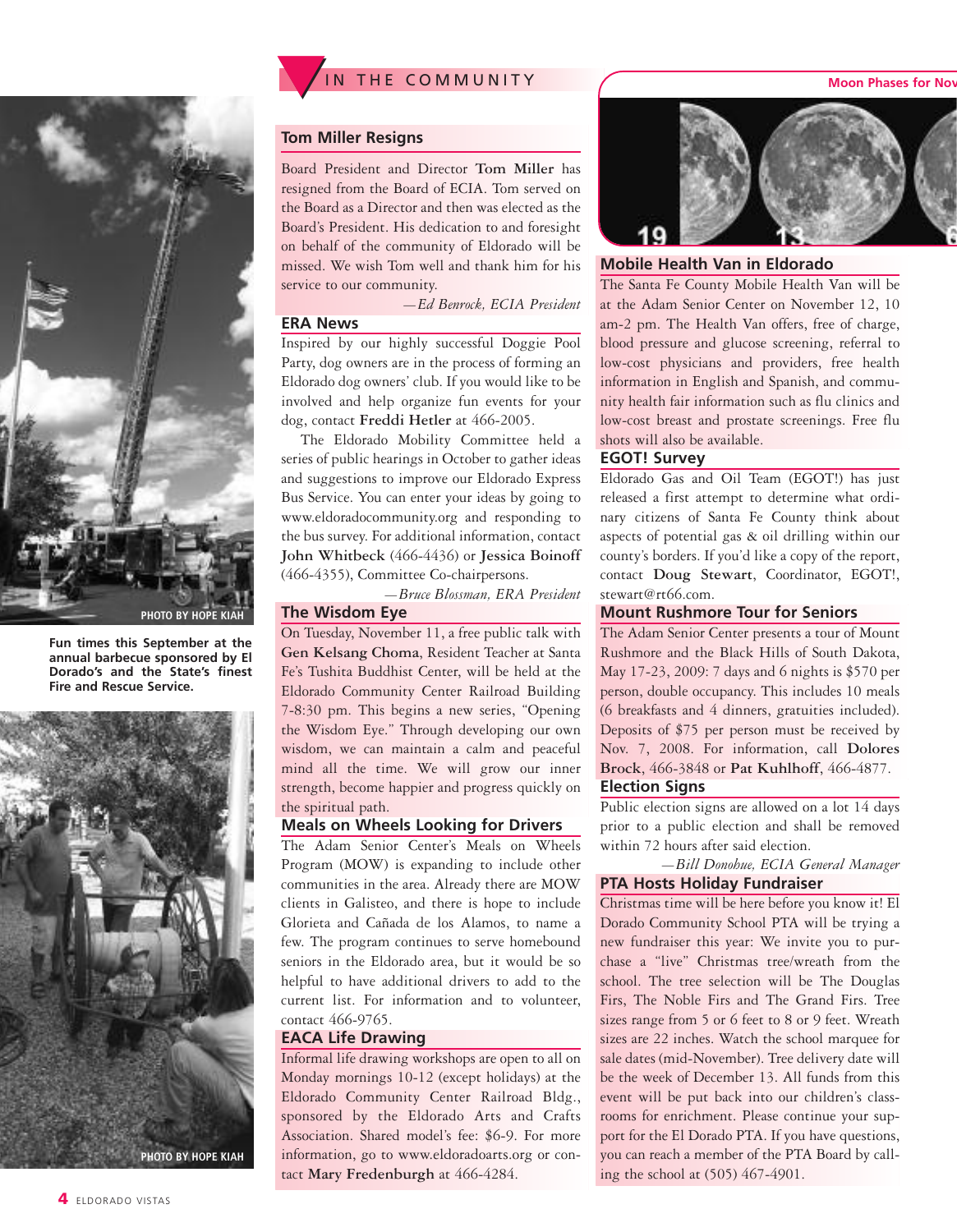

**Fun times this September at the annual barbecue sponsored by El Dorado's and the State's finest Fire and Rescue Service.**





#### **Tom Miller Resigns**

Board President and Director **Tom Miller** has resigned from the Board of ECIA. Tom served on the Board as a Director and then was elected as the Board's President. His dedication to and foresight on behalf of the community of Eldorado will be missed. We wish Tom well and thank him for his service to our community.

*—Ed Benrock, ECIA President*

#### **ERA News**

Inspired by our highly successful Doggie Pool Party, dog owners are in the process of forming an Eldorado dog owners' club. If you would like to be involved and help organize fun events for your dog, contact **Freddi Hetler** at 466-2005.

The Eldorado Mobility Committee held a series of public hearings in October to gather ideas and suggestions to improve our Eldorado Express Bus Service. You can enter your ideas by going to www.eldoradocommunity.org and responding to the bus survey. For additional information, contact **John Whitbeck** (466-4436) or **Jessica Boinoff** (466-4355), Committee Co-chairpersons.

*—Bruce Blossman, ERA President*

#### **The Wisdom Eye**

On Tuesday, November 11, a free public talk with **Gen Kelsang Choma**, Resident Teacher at Santa Fe's Tushita Buddhist Center, will be held at the Eldorado Community Center Railroad Building 7-8:30 pm. This begins a new series, "Opening the Wisdom Eye." Through developing our own wisdom, we can maintain a calm and peaceful mind all the time. We will grow our inner strength, become happier and progress quickly on the spiritual path.

#### **Meals on Wheels Looking for Drivers**

The Adam Senior Center's Meals on Wheels Program (MOW) is expanding to include other communities in the area. Already there are MOW clients in Galisteo, and there is hope to include Glorieta and Cañada de los Alamos, to name a few. The program continues to serve homebound seniors in the Eldorado area, but it would be so helpful to have additional drivers to add to the current list. For information and to volunteer, contact 466-9765.

#### **EACA Life Drawing**

Informal life drawing workshops are open to all on Monday mornings 10-12 (except holidays) at the Eldorado Community Center Railroad Bldg., sponsored by the Eldorado Arts and Crafts Association. Shared model's fee: \$6-9. For more information, go to www.eldoradoarts.org or contact **Mary Fredenburgh** at 466-4284.



#### **Mobile Health Van in Eldorado**

The Santa Fe County Mobile Health Van will be at the Adam Senior Center on November 12, 10 am-2 pm. The Health Van offers, free of charge, blood pressure and glucose screening, referral to low-cost physicians and providers, free health information in English and Spanish, and community health fair information such as flu clinics and low-cost breast and prostate screenings. Free flu shots will also be available.

#### **EGOT! Survey**

Eldorado Gas and Oil Team (EGOT!) has just released a first attempt to determine what ordinary citizens of Santa Fe County think about aspects of potential gas & oil drilling within our county's borders. If you'd like a copy of the report, contact **Doug Stewart**, Coordinator, EGOT!, stewart@rt66.com.

#### **Mount Rushmore Tour for Seniors**

The Adam Senior Center presents a tour of Mount Rushmore and the Black Hills of South Dakota, May 17-23, 2009: 7 days and 6 nights is \$570 per person, double occupancy. This includes 10 meals (6 breakfasts and 4 dinners, gratuities included). Deposits of \$75 per person must be received by Nov. 7, 2008. For information, call **Dolores Brock**, 466-3848 or **Pat Kuhlhoff**, 466-4877. **Election Signs**

Public election signs are allowed on a lot 14 days prior to a public election and shall be removed within 72 hours after said election.

#### *—Bill Donohue, ECIA General Manager* **PTA Hosts Holiday Fundraiser**

Christmas time will be here before you know it! El Dorado Community School PTA will be trying a new fundraiser this year: We invite you to purchase a "live" Christmas tree/wreath from the school. The tree selection will be The Douglas Firs, The Noble Firs and The Grand Firs. Tree sizes range from 5 or 6 feet to 8 or 9 feet. Wreath sizes are 22 inches. Watch the school marquee for sale dates (mid-November). Tree delivery date will be the week of December 13. All funds from this event will be put back into our children's classrooms for enrichment. Please continue your support for the El Dorado PTA. If you have questions, you can reach a member of the PTA Board by calling the school at (505) 467-4901.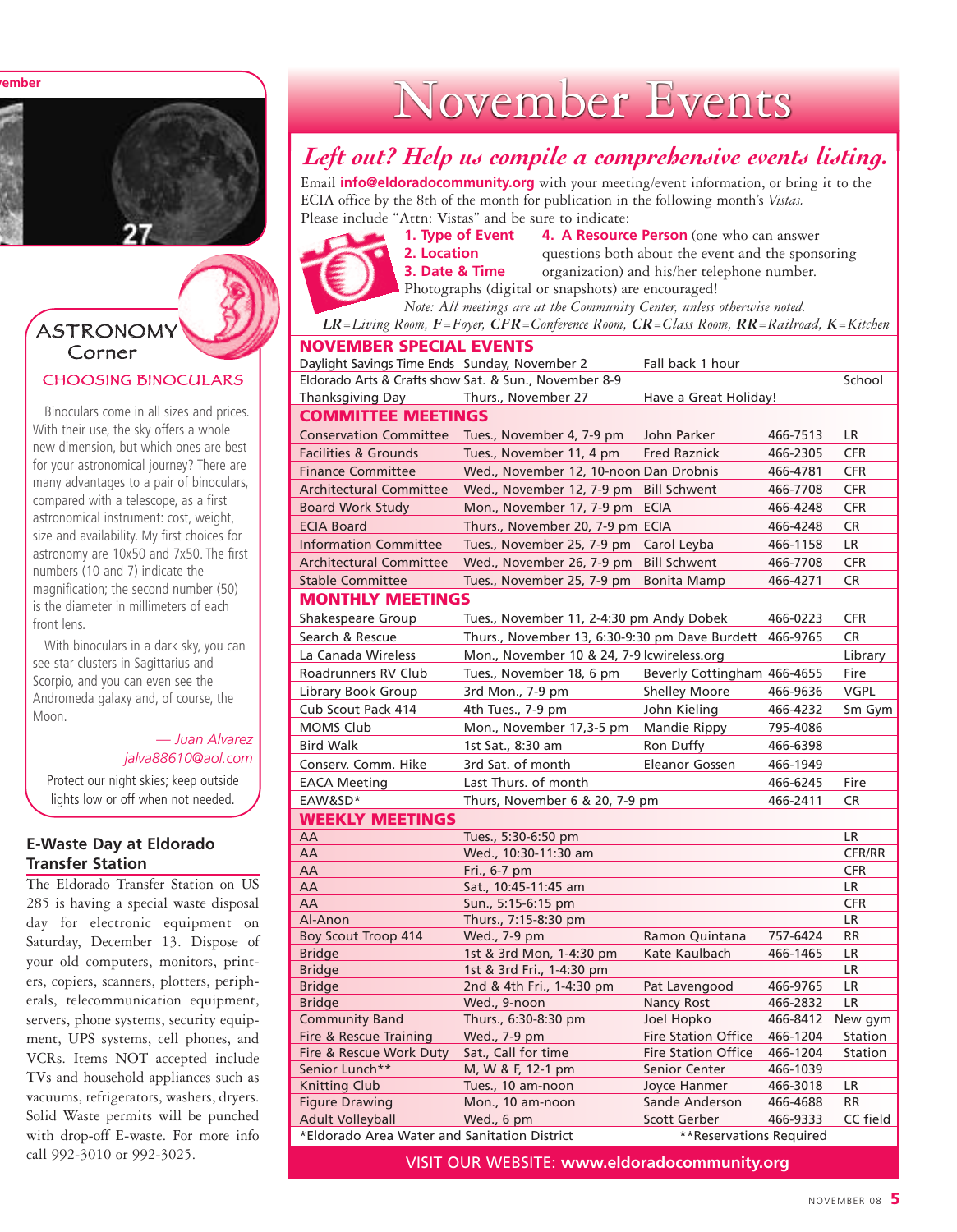**vember**



#### CHOOSING BINOCULARS ASTRONOMY Corner

Binoculars come in all sizes and prices. With their use, the sky offers a whole new dimension, but which ones are best for your astronomical journey? There are many advantages to a pair of binoculars, compared with a telescope, as a first astronomical instrument: cost, weight, size and availability. My first choices for astronomy are 10x50 and 7x50. The first numbers (10 and 7) indicate the magnification; the second number (50) is the diameter in millimeters of each front lens.

With binoculars in a dark sky, you can see star clusters in Sagittarius and Scorpio, and you can even see the Andromeda galaxy and, of course, the Moon.

> *— Juan Alvarez jalva88610@aol.com*

Protect our night skies; keep outside lights low or off when not needed.

#### **E-Waste Day at Eldorado Transfer Station**

The Eldorado Transfer Station on US 285 is having a special waste disposal day for electronic equipment on Saturday, December 13. Dispose of your old computers, monitors, printers, copiers, scanners, plotters, peripherals, telecommunication equipment, servers, phone systems, security equipment, UPS systems, cell phones, and VCRs. Items NOT accepted include TVs and household appliances such as vacuums, refrigerators, washers, dryers. Solid Waste permits will be punched with drop-off E-waste. For more info call 992-3010 or 992-3025.

# November Events

### *Left out? Help us compile a comprehensive events listing.*

Email **info@eldoradocommunity.org** with your meeting/event information, or bring it to the ECIA office by the 8th of the month for publication in the following month's *Vistas.* Please include "Attn: Vistas" and be sure to indicate:



**1. Type of Event 4. A Resource Person** (one who can answer **2. Location** questions both about the event and the sponsoring **3. Date & Time** organization) and his/her telephone number. Photographs (digital or snapshots) are encouraged!

*Note: All meetings are at the Community Center, unless otherwise noted.*

*LR=Living Room, F=Foyer, CFR=Conference Room, CR=Class Room, RR=Railroad, K=Kitchen*

| <b>NOVEMBER SPECIAL EVENTS</b>                |                                                       |                                    |                      |                        |  |
|-----------------------------------------------|-------------------------------------------------------|------------------------------------|----------------------|------------------------|--|
| Daylight Savings Time Ends Sunday, November 2 |                                                       | Fall back 1 hour                   |                      |                        |  |
|                                               | Eldorado Arts & Crafts show Sat. & Sun., November 8-9 |                                    |                      | School                 |  |
| Thanksgiving Day                              | Thurs., November 27                                   | Have a Great Holiday!              |                      |                        |  |
| <b>COMMITTEE MEETINGS</b>                     |                                                       |                                    |                      |                        |  |
| <b>Conservation Committee</b>                 | Tues., November 4, 7-9 pm                             | John Parker                        | 466-7513             | LR                     |  |
| <b>Facilities &amp; Grounds</b>               | Tues., November 11, 4 pm                              | <b>Fred Raznick</b>                | 466-2305             | <b>CFR</b>             |  |
| <b>Finance Committee</b>                      | Wed., November 12, 10-noon Dan Drobnis                |                                    | 466-4781             | <b>CFR</b>             |  |
| <b>Architectural Committee</b>                | Wed., November 12, 7-9 pm                             | <b>Bill Schwent</b>                | 466-7708             | <b>CFR</b>             |  |
| <b>Board Work Study</b>                       | Mon., November 17, 7-9 pm                             | <b>ECIA</b>                        | 466-4248             | <b>CFR</b>             |  |
| <b>ECIA Board</b>                             | Thurs., November 20, 7-9 pm ECIA                      |                                    | 466-4248             | <b>CR</b>              |  |
| <b>Information Committee</b>                  | Tues., November 25, 7-9 pm                            | Carol Leyba                        | 466-1158             | LR                     |  |
| <b>Architectural Committee</b>                | Wed., November 26, 7-9 pm                             | <b>Bill Schwent</b>                | 466-7708             | <b>CFR</b>             |  |
| <b>Stable Committee</b>                       | Tues., November 25, 7-9 pm                            | <b>Bonita Mamp</b>                 | 466-4271             | <b>CR</b>              |  |
| <b>MONTHLY MEETINGS</b>                       |                                                       |                                    |                      |                        |  |
| Shakespeare Group                             | Tues., November 11, 2-4:30 pm Andy Dobek              |                                    | 466-0223             | <b>CFR</b>             |  |
| Search & Rescue                               | Thurs., November 13, 6:30-9:30 pm Dave Burdett        |                                    | 466-9765             | <b>CR</b>              |  |
| La Canada Wireless                            | Mon., November 10 & 24, 7-9 lcwireless.org            |                                    |                      | Library                |  |
| Roadrunners RV Club                           | Tues., November 18, 6 pm                              | Beverly Cottingham 466-4655        |                      | Fire                   |  |
| Library Book Group                            | 3rd Mon., 7-9 pm                                      | <b>Shelley Moore</b>               | 466-9636             | <b>VGPL</b>            |  |
| Cub Scout Pack 414                            | 4th Tues., 7-9 pm                                     | John Kieling                       | 466-4232             | Sm Gym                 |  |
| <b>MOMS Club</b>                              | Mon., November 17,3-5 pm                              | <b>Mandie Rippy</b>                | 795-4086             |                        |  |
| <b>Bird Walk</b>                              | 1st Sat., 8:30 am                                     | Ron Duffy                          | 466-6398             |                        |  |
| Conserv. Comm. Hike                           | 3rd Sat. of month                                     | <b>Eleanor Gossen</b>              | 466-1949             |                        |  |
| <b>EACA Meeting</b>                           | Last Thurs. of month                                  |                                    | 466-6245             | Fire                   |  |
| EAW&SD*                                       | Thurs, November 6 & 20, 7-9 pm                        |                                    | 466-2411             | <b>CR</b>              |  |
| <b>WEEKLY MEETINGS</b>                        |                                                       |                                    |                      |                        |  |
| AA                                            | Tues., 5:30-6:50 pm                                   |                                    |                      | LR                     |  |
| AA                                            | Wed., 10:30-11:30 am                                  |                                    |                      | CFR/RR                 |  |
| AA                                            | Fri., 6-7 pm                                          |                                    |                      | <b>CFR</b>             |  |
| AA                                            | Sat., 10:45-11:45 am                                  |                                    |                      | LR                     |  |
| AA                                            | Sun., 5:15-6:15 pm                                    |                                    |                      | <b>CFR</b>             |  |
| Al-Anon                                       | Thurs., 7:15-8:30 pm                                  |                                    |                      | LR                     |  |
| <b>Boy Scout Troop 414</b>                    | Wed., 7-9 pm                                          | Ramon Quintana                     | 757-6424             | <b>RR</b>              |  |
| <b>Bridge</b>                                 | 1st & 3rd Mon, 1-4:30 pm                              | Kate Kaulbach                      | 466-1465             | <b>LR</b>              |  |
| <b>Bridge</b>                                 | 1st & 3rd Fri., 1-4:30 pm                             |                                    |                      | <b>LR</b><br><b>LR</b> |  |
| <b>Bridge</b><br><b>Bridge</b>                | 2nd & 4th Fri., 1-4:30 pm<br>Wed., 9-noon             | Pat Lavengood<br><b>Nancy Rost</b> | 466-9765<br>466-2832 | LR                     |  |
| <b>Community Band</b>                         | Thurs., 6:30-8:30 pm                                  | Joel Hopko                         | 466-8412             | New gym                |  |
| Fire & Rescue Training                        | Wed., 7-9 pm                                          | <b>Fire Station Office</b>         | 466-1204             | Station                |  |
| Fire & Rescue Work Duty                       | Sat., Call for time                                   | <b>Fire Station Office</b>         | 466-1204             | Station                |  |
| Senior Lunch**                                | M, W & F, 12-1 pm                                     | Senior Center                      | 466-1039             |                        |  |
| <b>Knitting Club</b>                          | Tues., 10 am-noon                                     | <b>Joyce Hanmer</b>                | 466-3018             | LR                     |  |
| <b>Figure Drawing</b>                         | Mon., 10 am-noon                                      | Sande Anderson                     | 466-4688             | <b>RR</b>              |  |
| <b>Adult Volleyball</b>                       | Wed., 6 pm                                            | Scott Gerber                       | 466-9333             | CC field               |  |
| *Eldorado Area Water and Sanitation District  |                                                       | **Reservations Required            |                      |                        |  |

VISIT OUR WEBSITE: **www.eldoradocommunity.org**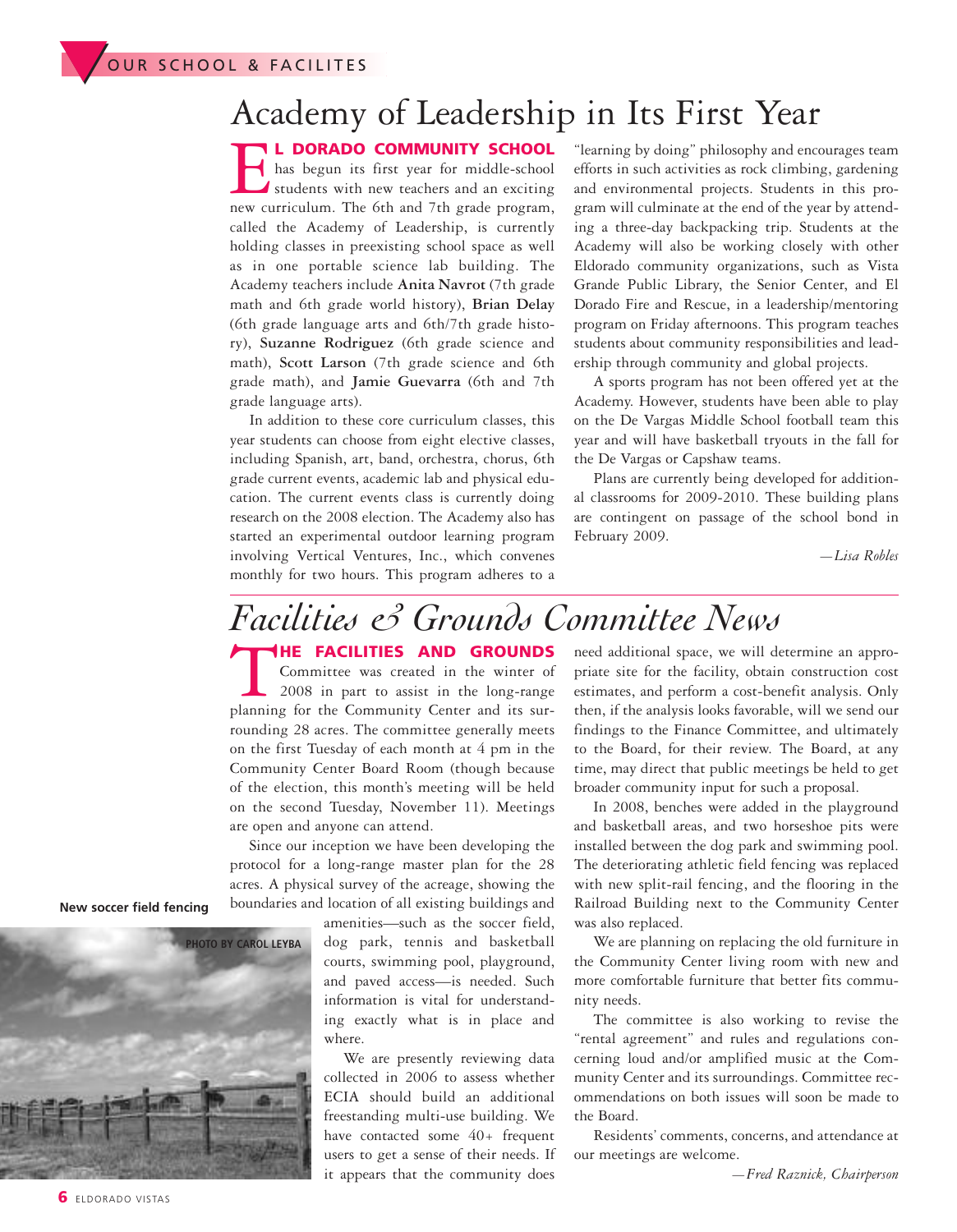## Academy of Leadership in Its First Year

**L DORADO COMMUNITY SCHOOL**<br>students with new teachers and an exciting<br>new curriculum. The 6th and 7th grade program, has begun its first year for middle-school students with new teachers and an exciting new curriculum. The 6th and 7th grade program, called the Academy of Leadership, is currently holding classes in preexisting school space as well as in one portable science lab building. The Academy teachers include **Anita Navrot** (7th grade math and 6th grade world history), **Brian Delay** (6th grade language arts and 6th/7th grade history), **Suzanne Rodriguez** (6th grade science and math), **Scott Larson** (7th grade science and 6th grade math), and **Jamie Guevarra** (6th and 7th grade language arts).

In addition to these core curriculum classes, this year students can choose from eight elective classes, including Spanish, art, band, orchestra, chorus, 6th grade current events, academic lab and physical education. The current events class is currently doing research on the 2008 election. The Academy also has started an experimental outdoor learning program involving Vertical Ventures, Inc., which convenes monthly for two hours. This program adheres to a

"learning by doing" philosophy and encourages team efforts in such activities as rock climbing, gardening and environmental projects. Students in this program will culminate at the end of the year by attending a three-day backpacking trip. Students at the Academy will also be working closely with other Eldorado community organizations, such as Vista Grande Public Library, the Senior Center, and El Dorado Fire and Rescue, in a leadership/mentoring program on Friday afternoons. This program teaches students about community responsibilities and leadership through community and global projects.

A sports program has not been offered yet at the Academy. However, students have been able to play on the De Vargas Middle School football team this year and will have basketball tryouts in the fall for the De Vargas or Capshaw teams.

Plans are currently being developed for additional classrooms for 2009-2010. These building plans are contingent on passage of the school bond in February 2009.

*—Lisa Robles*

### T**HE FACILITIES AND GROUNDS** *Facilities & Grounds Committee News*

Committee was created in the winter of 2008 in part to assist in the long-range planning for the Community Center and its surrounding 28 acres. The committee generally meets on the first Tuesday of each month at 4 pm in the Community Center Board Room (though because of the election, this month's meeting will be held on the second Tuesday, November 11). Meetings are open and anyone can attend.

Since our inception we have been developing the protocol for a long-range master plan for the 28 acres. A physical survey of the acreage, showing the boundaries and location of all existing buildings and

amenities—such as the soccer field, dog park, tennis and basketball courts, swimming pool, playground, and paved access—is needed. Such information is vital for understanding exactly what is in place and where.

We are presently reviewing data collected in 2006 to assess whether ECIA should build an additional freestanding multi-use building. We have contacted some 40+ frequent users to get a sense of their needs. If it appears that the community does

need additional space, we will determine an appropriate site for the facility, obtain construction cost estimates, and perform a cost-benefit analysis. Only then, if the analysis looks favorable, will we send our findings to the Finance Committee, and ultimately to the Board, for their review. The Board, at any time, may direct that public meetings be held to get broader community input for such a proposal.

In 2008, benches were added in the playground and basketball areas, and two horseshoe pits were installed between the dog park and swimming pool. The deteriorating athletic field fencing was replaced with new split-rail fencing, and the flooring in the Railroad Building next to the Community Center was also replaced.

We are planning on replacing the old furniture in the Community Center living room with new and more comfortable furniture that better fits community needs.

The committee is also working to revise the "rental agreement" and rules and regulations concerning loud and/or amplified music at the Community Center and its surroundings. Committee recommendations on both issues will soon be made to the Board.

Residents' comments, concerns, and attendance at our meetings are welcome.

**New soccer field fencing**

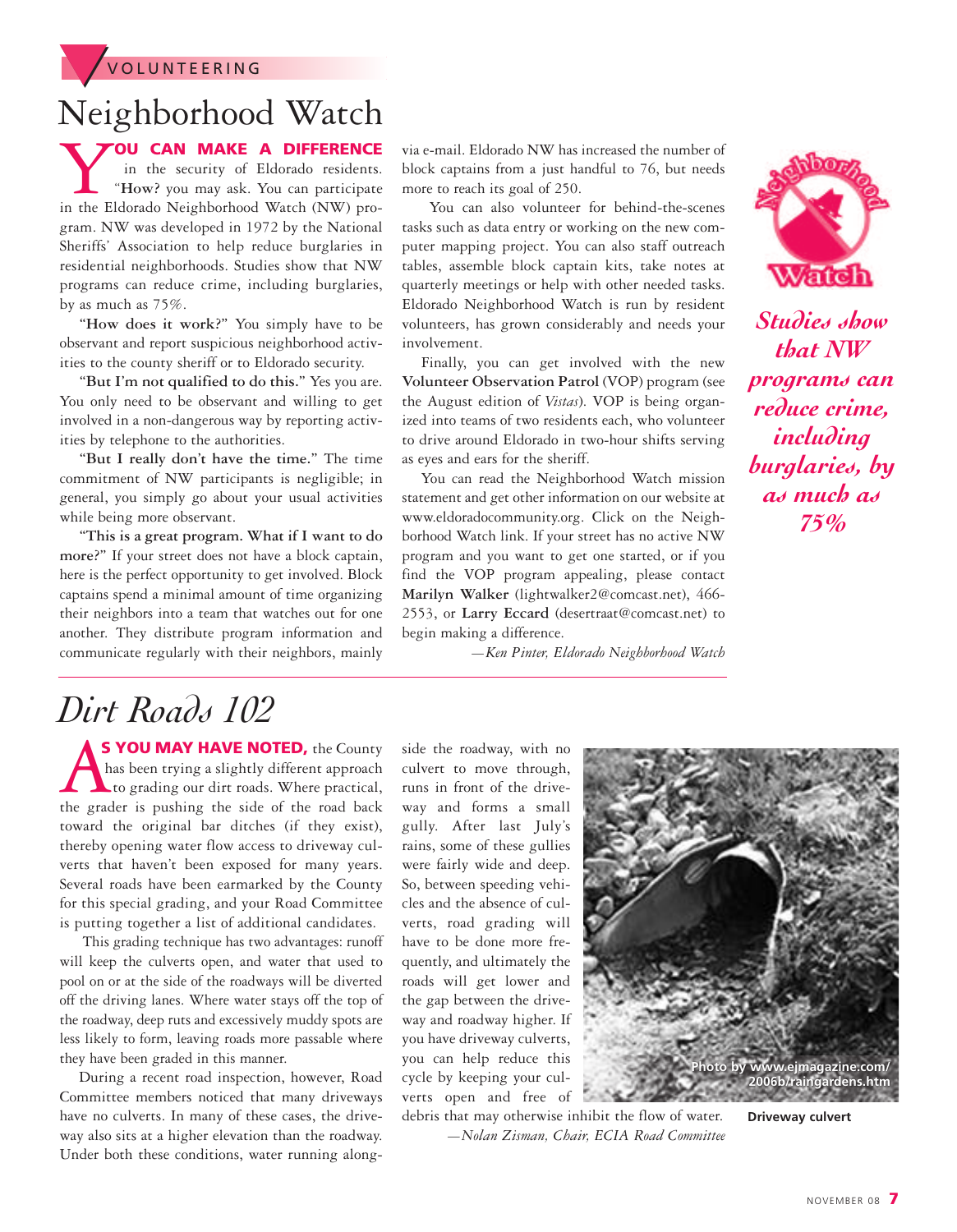

## Neighborhood Watch

**YOU CAN MAKE A DIFFERENCE**<br>in the security of Eldorado residents.<br>in the Eldorado Neighborhood Watch (NW) proin the security of Eldorado residents. "**How?** you may ask. You can participate in the Eldorado Neighborhood Watch (NW) program. NW was developed in 1972 by the National Sheriffs' Association to help reduce burglaries in residential neighborhoods. Studies show that NW programs can reduce crime, including burglaries, by as much as 75%.

**"How does it work?"** You simply have to be observant and report suspicious neighborhood activities to the county sheriff or to Eldorado security.

**"But I'm not qualified to do this."** Yes you are. You only need to be observant and willing to get involved in a non-dangerous way by reporting activities by telephone to the authorities.

**"But I really don't have the time."** The time commitment of NW participants is negligible; in general, you simply go about your usual activities while being more observant.

**"This is a great program. What if I want to do more?"** If your street does not have a block captain, here is the perfect opportunity to get involved. Block captains spend a minimal amount of time organizing their neighbors into a team that watches out for one another. They distribute program information and communicate regularly with their neighbors, mainly

via e-mail. Eldorado NW has increased the number of block captains from a just handful to 76, but needs more to reach its goal of 250.

You can also volunteer for behind-the-scenes tasks such as data entry or working on the new computer mapping project. You can also staff outreach tables, assemble block captain kits, take notes at quarterly meetings or help with other needed tasks. Eldorado Neighborhood Watch is run by resident volunteers, has grown considerably and needs your involvement.

Finally, you can get involved with the new **Volunteer Observation Patrol** (VOP) program (see the August edition of *Vistas*). VOP is being organized into teams of two residents each, who volunteer to drive around Eldorado in two-hour shifts serving as eyes and ears for the sheriff.

You can read the Neighborhood Watch mission statement and get other information on our website at www.eldoradocommunity.org. Click on the Neighborhood Watch link. If your street has no active NW program and you want to get one started, or if you find the VOP program appealing, please contact **Marilyn Walker** (lightwalker2@comcast.net), 466- 2553, or **Larry Eccard** (desertraat@comcast.net) to begin making a difference.

*—Ken Pinter, Eldorado Neighborhood Watch*



*Studies show that NW programs can reduce crime, including burglaries, by as much as 75%*

## *Dirt Roads 102*

**AS YOU MAY HAVE NOTED,** the County has been trying a slightly different approach to grading our dirt roads. Where practical, the grader is pushing the side of the road back has been trying a slightly different approach to grading our dirt roads. Where practical, the grader is pushing the side of the road back toward the original bar ditches (if they exist), thereby opening water flow access to driveway culverts that haven't been exposed for many years. Several roads have been earmarked by the County for this special grading, and your Road Committee is putting together a list of additional candidates.

This grading technique has two advantages: runoff will keep the culverts open, and water that used to pool on or at the side of the roadways will be diverted off the driving lanes. Where water stays off the top of the roadway, deep ruts and excessively muddy spots are less likely to form, leaving roads more passable where they have been graded in this manner.

During a recent road inspection, however, Road Committee members noticed that many driveways have no culverts. In many of these cases, the driveway also sits at a higher elevation than the roadway. Under both these conditions, water running alongside the roadway, with no culvert to move through, runs in front of the driveway and forms a small gully. After last July's rains, some of these gullies were fairly wide and deep. So, between speeding vehicles and the absence of culverts, road grading will have to be done more frequently, and ultimately the roads will get lower and the gap between the driveway and roadway higher. If you have driveway culverts, you can help reduce this cycle by keeping your culverts open and free of



debris that may otherwise inhibit the flow of water. *—Nolan Zisman, Chair, ECIA Road Committee* **Driveway culvert**